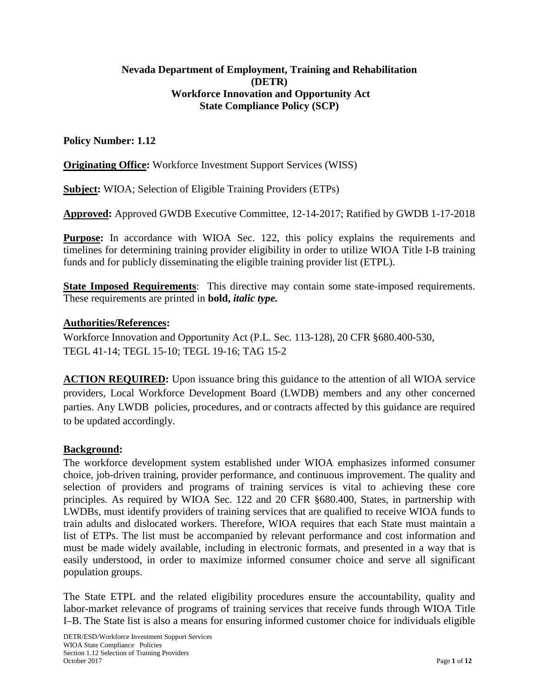### **Nevada Department of Employment, Training and Rehabilitation (DETR) Workforce Innovation and Opportunity Act State Compliance Policy (SCP)**

#### **Policy Number: 1.12**

**Originating Office:** Workforce Investment Support Services (WISS)

**Subject:** WIOA; Selection of Eligible Training Providers (ETPs)

**Approved:** Approved GWDB Executive Committee, 12-14-2017; Ratified by GWDB 1-17-2018

**Purpose:** In accordance with WIOA Sec. 122, this policy explains the requirements and timelines for determining training provider eligibility in order to utilize WIOA Title I-B training funds and for publicly disseminating the eligible training provider list (ETPL).

**State Imposed Requirements**: This directive may contain some state-imposed requirements. These requirements are printed in **bold,** *italic type.*

#### **Authorities/References:**

Workforce Innovation and Opportunity Act (P.L. Sec. 113-128), 20 CFR §680.400-530, TEGL 41-14; TEGL 15-10; TEGL 19-16; TAG 15-2

**ACTION REQUIRED:** Upon issuance bring this guidance to the attention of all WIOA service providers, Local Workforce Development Board (LWDB) members and any other concerned parties. Any LWDB policies, procedures, and or contracts affected by this guidance are required to be updated accordingly.

#### **Background:**

The workforce development system established under WIOA emphasizes informed consumer choice, job-driven training, provider performance, and continuous improvement. The quality and selection of providers and programs of training services is vital to achieving these core principles. As required by WIOA Sec. 122 and 20 CFR §680.400, States, in partnership with LWDBs, must identify providers of training services that are qualified to receive WIOA funds to train adults and dislocated workers. Therefore, WIOA requires that each State must maintain a list of ETPs. The list must be accompanied by relevant performance and cost information and must be made widely available, including in electronic formats, and presented in a way that is easily understood, in order to maximize informed consumer choice and serve all significant population groups.

The State ETPL and the related eligibility procedures ensure the accountability, quality and labor-market relevance of programs of training services that receive funds through WIOA Title I–B. The State list is also a means for ensuring informed customer choice for individuals eligible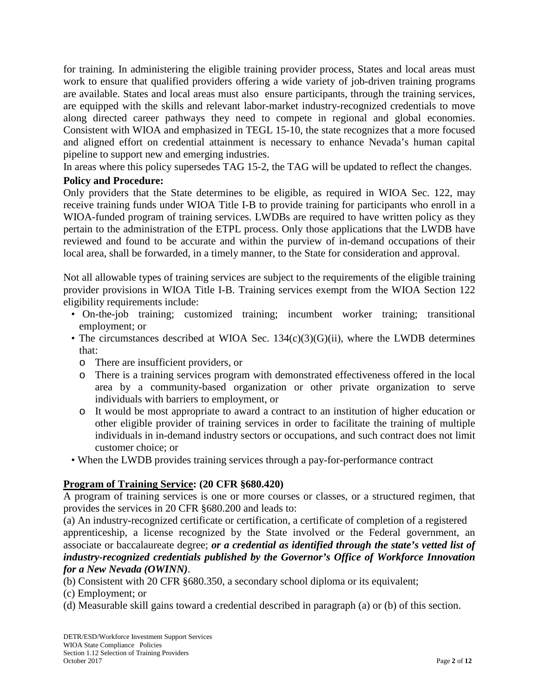for training. In administering the eligible training provider process, States and local areas must work to ensure that qualified providers offering a wide variety of job-driven training programs are available. States and local areas must also ensure participants, through the training services, are equipped with the skills and relevant labor-market industry-recognized credentials to move along directed career pathways they need to compete in regional and global economies. Consistent with WIOA and emphasized in TEGL 15-10, the state recognizes that a more focused and aligned effort on credential attainment is necessary to enhance Nevada's human capital pipeline to support new and emerging industries.

In areas where this policy supersedes TAG 15-2, the TAG will be updated to reflect the changes.

### **Policy and Procedure:**

Only providers that the State determines to be eligible, as required in WIOA Sec. 122, may receive training funds under WIOA Title I-B to provide training for participants who enroll in a WIOA-funded program of training services. LWDBs are required to have written policy as they pertain to the administration of the ETPL process. Only those applications that the LWDB have reviewed and found to be accurate and within the purview of in-demand occupations of their local area, shall be forwarded, in a timely manner, to the State for consideration and approval.

Not all allowable types of training services are subject to the requirements of the eligible training provider provisions in WIOA Title I-B. Training services exempt from the WIOA Section 122 eligibility requirements include:

- On-the-job training; customized training; incumbent worker training; transitional employment; or
- The circumstances described at WIOA Sec. 134(c)(3)(G)(ii), where the LWDB determines that:
	- o There are insufficient providers, or
	- o There is a training services program with demonstrated effectiveness offered in the local area by a community-based organization or other private organization to serve individuals with barriers to employment, or
	- o It would be most appropriate to award a contract to an institution of higher education or other eligible provider of training services in order to facilitate the training of multiple individuals in in-demand industry sectors or occupations, and such contract does not limit customer choice; or
- When the LWDB provides training services through a pay-for-performance contract

## **Program of Training Service: (20 CFR §680.420)**

A program of training services is one or more courses or classes, or a structured regimen, that provides the services in 20 CFR §680.200 and leads to:

(a) An industry-recognized certificate or certification, a certificate of completion of a registered apprenticeship, a license recognized by the State involved or the Federal government, an associate or baccalaureate degree; *or a credential as identified through the state's vetted list of industry-recognized credentials published by the Governor's Office of Workforce Innovation for a New Nevada (OWINN)*.

(b) Consistent with 20 CFR §680.350, a secondary school diploma or its equivalent;

- (c) Employment; or
- (d) Measurable skill gains toward a credential described in paragraph (a) or (b) of this section.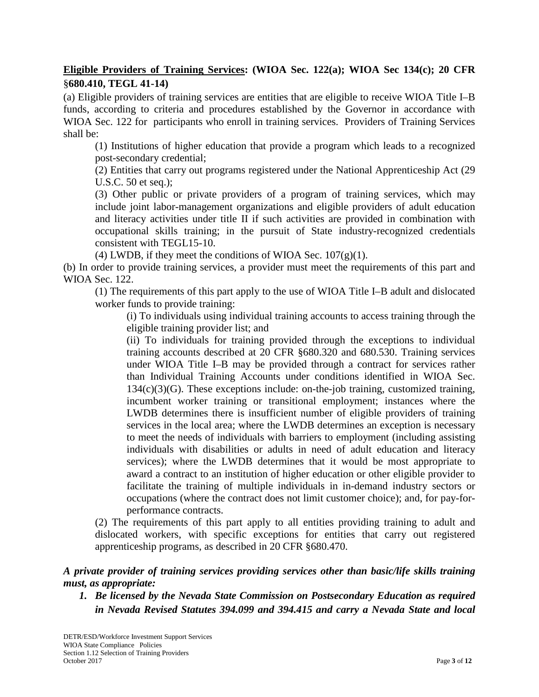# **Eligible Providers of Training Services: (WIOA Sec. 122(a); WIOA Sec 134(c); 20 CFR**  §**680.410, TEGL 41-14)**

(a) Eligible providers of training services are entities that are eligible to receive WIOA Title I–B funds, according to criteria and procedures established by the Governor in accordance with WIOA Sec. 122 for participants who enroll in training services. Providers of Training Services shall be:

(1) Institutions of higher education that provide a program which leads to a recognized post-secondary credential;

(2) Entities that carry out programs registered under the National Apprenticeship Act (29 U.S.C. 50 et seq.);

(3) Other public or private providers of a program of training services, which may include joint labor-management organizations and eligible providers of adult education and literacy activities under title II if such activities are provided in combination with occupational skills training; in the pursuit of State industry-recognized credentials consistent with TEGL15-10.

(4) LWDB, if they meet the conditions of WIOA Sec.  $107(g)(1)$ .

(b) In order to provide training services, a provider must meet the requirements of this part and WIOA Sec. 122.

(1) The requirements of this part apply to the use of WIOA Title I–B adult and dislocated worker funds to provide training:

(i) To individuals using individual training accounts to access training through the eligible training provider list; and

(ii) To individuals for training provided through the exceptions to individual training accounts described at 20 CFR §680.320 and 680.530. Training services under WIOA Title I–B may be provided through a contract for services rather than Individual Training Accounts under conditions identified in WIOA Sec. 134(c)(3)(G). These exceptions include: on-the-job training, customized training, incumbent worker training or transitional employment; instances where the LWDB determines there is insufficient number of eligible providers of training services in the local area; where the LWDB determines an exception is necessary to meet the needs of individuals with barriers to employment (including assisting individuals with disabilities or adults in need of adult education and literacy services); where the LWDB determines that it would be most appropriate to award a contract to an institution of higher education or other eligible provider to facilitate the training of multiple individuals in in-demand industry sectors or occupations (where the contract does not limit customer choice); and, for pay-forperformance contracts.

(2) The requirements of this part apply to all entities providing training to adult and dislocated workers, with specific exceptions for entities that carry out registered apprenticeship programs, as described in 20 CFR §680.470.

### *A private provider of training services providing services other than basic/life skills training must, as appropriate:*

*1. Be licensed by the Nevada State Commission on Postsecondary Education as required in Nevada Revised Statutes 394.099 and 394.415 and carry a Nevada State and local*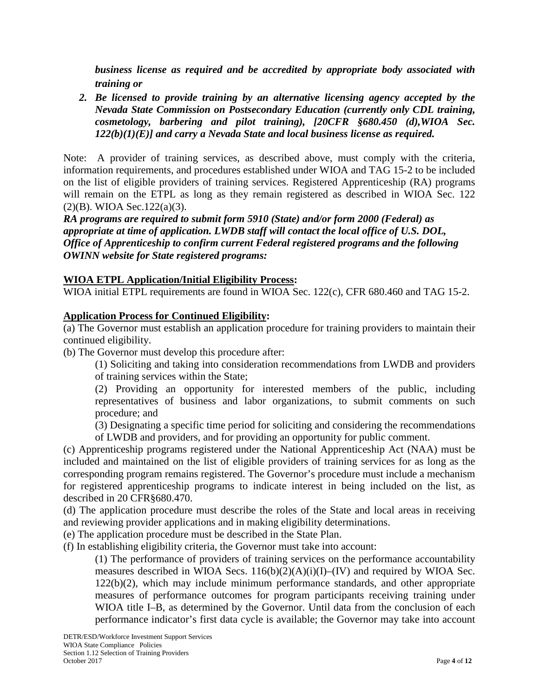*business license as required and be accredited by appropriate body associated with training or*

*2. Be licensed to provide training by an alternative licensing agency accepted by the Nevada State Commission on Postsecondary Education (currently only CDL training, cosmetology, barbering and pilot training), [20CFR §680.450 (d),WIOA Sec. 122(b)(1)(E)] and carry a Nevada State and local business license as required.*

Note: A provider of training services, as described above, must comply with the criteria, information requirements, and procedures established under WIOA and TAG 15-2 to be included on the list of eligible providers of training services. Registered Apprenticeship (RA) programs will remain on the ETPL as long as they remain registered as described in WIOA Sec. 122 (2)(B). WIOA Sec.122(a)(3).

*RA programs are required to submit form 5910 (State) and/or form 2000 (Federal) as appropriate at time of application. LWDB staff will contact the local office of U.S. DOL, Office of Apprenticeship to confirm current Federal registered programs and the following OWINN website for State registered programs:*

## **WIOA ETPL Application/Initial Eligibility Process:**

WIOA initial ETPL requirements are found in WIOA Sec. 122(c), CFR 680.460 and TAG 15-2.

## **Application Process for Continued Eligibility:**

(a) The Governor must establish an application procedure for training providers to maintain their continued eligibility.

(b) The Governor must develop this procedure after:

(1) Soliciting and taking into consideration recommendations from LWDB and providers of training services within the State;

(2) Providing an opportunity for interested members of the public, including representatives of business and labor organizations, to submit comments on such procedure; and

(3) Designating a specific time period for soliciting and considering the recommendations of LWDB and providers, and for providing an opportunity for public comment.

(c) Apprenticeship programs registered under the National Apprenticeship Act (NAA) must be included and maintained on the list of eligible providers of training services for as long as the corresponding program remains registered. The Governor's procedure must include a mechanism for registered apprenticeship programs to indicate interest in being included on the list, as described in 20 CFR§680.470.

(d) The application procedure must describe the roles of the State and local areas in receiving and reviewing provider applications and in making eligibility determinations.

(e) The application procedure must be described in the State Plan.

(f) In establishing eligibility criteria, the Governor must take into account:

(1) The performance of providers of training services on the performance accountability measures described in WIOA Secs.  $116(b)(2)(A)(i)(I)$ –(IV) and required by WIOA Sec. 122(b)(2), which may include minimum performance standards, and other appropriate measures of performance outcomes for program participants receiving training under WIOA title I–B, as determined by the Governor. Until data from the conclusion of each performance indicator's first data cycle is available; the Governor may take into account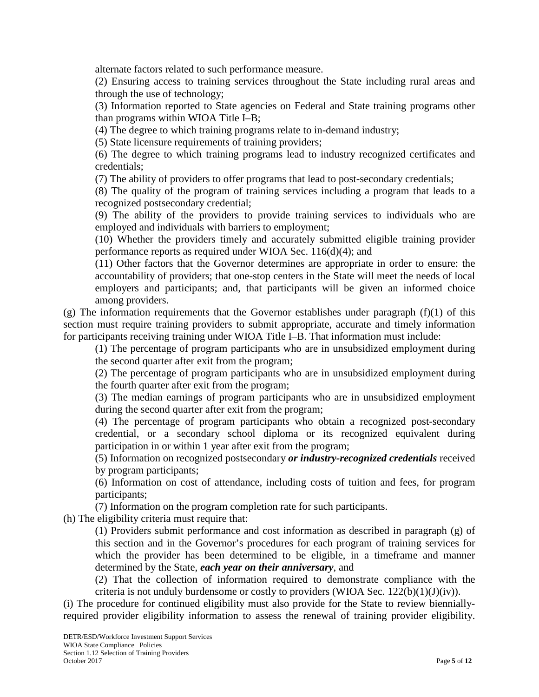alternate factors related to such performance measure.

(2) Ensuring access to training services throughout the State including rural areas and through the use of technology;

(3) Information reported to State agencies on Federal and State training programs other than programs within WIOA Title I–B;

(4) The degree to which training programs relate to in-demand industry;

(5) State licensure requirements of training providers;

(6) The degree to which training programs lead to industry recognized certificates and credentials;

(7) The ability of providers to offer programs that lead to post-secondary credentials;

(8) The quality of the program of training services including a program that leads to a recognized postsecondary credential;

(9) The ability of the providers to provide training services to individuals who are employed and individuals with barriers to employment;

(10) Whether the providers timely and accurately submitted eligible training provider performance reports as required under WIOA Sec. 116(d)(4); and

(11) Other factors that the Governor determines are appropriate in order to ensure: the accountability of providers; that one-stop centers in the State will meet the needs of local employers and participants; and, that participants will be given an informed choice among providers.

(g) The information requirements that the Governor establishes under paragraph (f)(1) of this section must require training providers to submit appropriate, accurate and timely information for participants receiving training under WIOA Title I–B. That information must include:

(1) The percentage of program participants who are in unsubsidized employment during the second quarter after exit from the program;

(2) The percentage of program participants who are in unsubsidized employment during the fourth quarter after exit from the program;

(3) The median earnings of program participants who are in unsubsidized employment during the second quarter after exit from the program;

(4) The percentage of program participants who obtain a recognized post-secondary credential, or a secondary school diploma or its recognized equivalent during participation in or within 1 year after exit from the program;

(5) Information on recognized postsecondary *or industry-recognized credentials* received by program participants;

(6) Information on cost of attendance, including costs of tuition and fees, for program participants;

(7) Information on the program completion rate for such participants.

(h) The eligibility criteria must require that:

(1) Providers submit performance and cost information as described in paragraph (g) of this section and in the Governor's procedures for each program of training services for which the provider has been determined to be eligible, in a timeframe and manner determined by the State, *each year on their anniversary*, and

(2) That the collection of information required to demonstrate compliance with the criteria is not unduly burdensome or costly to providers (WIOA Sec.  $122(b)(1)(J)(iv)$ ).

(i) The procedure for continued eligibility must also provide for the State to review bienniallyrequired provider eligibility information to assess the renewal of training provider eligibility.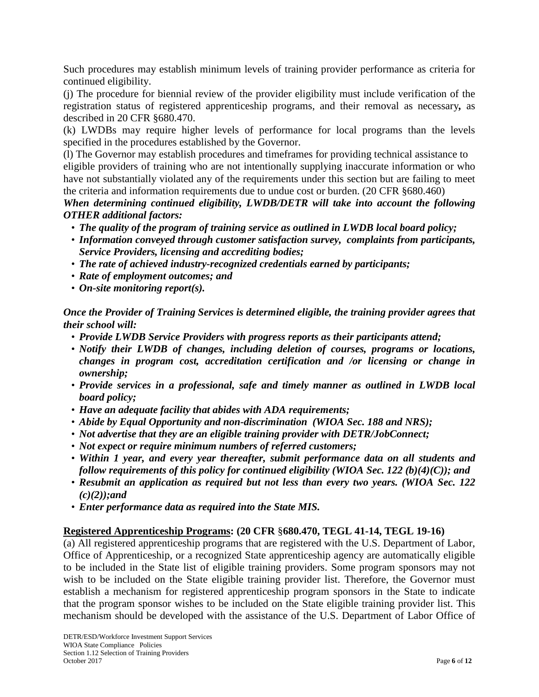Such procedures may establish minimum levels of training provider performance as criteria for continued eligibility.

(j) The procedure for biennial review of the provider eligibility must include verification of the registration status of registered apprenticeship programs, and their removal as necessary*,* as described in 20 CFR §680.470.

(k) LWDBs may require higher levels of performance for local programs than the levels specified in the procedures established by the Governor.

(l) The Governor may establish procedures and timeframes for providing technical assistance to eligible providers of training who are not intentionally supplying inaccurate information or who have not substantially violated any of the requirements under this section but are failing to meet the criteria and information requirements due to undue cost or burden. (20 CFR §680.460)

*When determining continued eligibility, LWDB/DETR will take into account the following OTHER additional factors:*

- *The quality of the program of training service as outlined in LWDB local board policy;*
- *Information conveyed through customer satisfaction survey, complaints from participants, Service Providers, licensing and accrediting bodies;*
- *The rate of achieved industry-recognized credentials earned by participants;*
- *Rate of employment outcomes; and*
- *On-site monitoring report(s).*

*Once the Provider of Training Services is determined eligible, the training provider agrees that their school will:*

- *Provide LWDB Service Providers with progress reports as their participants attend;*
- *Notify their LWDB of changes, including deletion of courses, programs or locations, changes in program cost, accreditation certification and /or licensing or change in ownership;*
- *Provide services in a professional, safe and timely manner as outlined in LWDB local board policy;*
- *Have an adequate facility that abides with ADA requirements;*
- *Abide by Equal Opportunity and non-discrimination (WIOA Sec. 188 and NRS);*
- *Not advertise that they are an eligible training provider with DETR/JobConnect;*
- *Not expect or require minimum numbers of referred customers;*
- *Within 1 year, and every year thereafter, submit performance data on all students and follow requirements of this policy for continued eligibility (WIOA Sec. 122 (b)(4)(C)); and*
- *Resubmit an application as required but not less than every two years. (WIOA Sec. 122 (c)(2));and*
- *Enter performance data as required into the State MIS.*

#### **Registered Apprenticeship Programs: (20 CFR** §**680.470, TEGL 41-14, TEGL 19-16)**

(a) All registered apprenticeship programs that are registered with the U.S. Department of Labor, Office of Apprenticeship, or a recognized State apprenticeship agency are automatically eligible to be included in the State list of eligible training providers. Some program sponsors may not wish to be included on the State eligible training provider list. Therefore, the Governor must establish a mechanism for registered apprenticeship program sponsors in the State to indicate that the program sponsor wishes to be included on the State eligible training provider list. This mechanism should be developed with the assistance of the U.S. Department of Labor Office of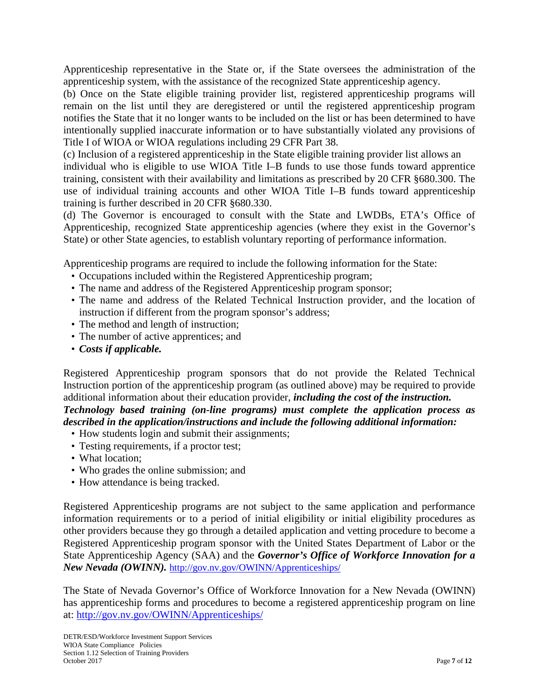Apprenticeship representative in the State or, if the State oversees the administration of the apprenticeship system, with the assistance of the recognized State apprenticeship agency.

(b) Once on the State eligible training provider list, registered apprenticeship programs will remain on the list until they are deregistered or until the registered apprenticeship program notifies the State that it no longer wants to be included on the list or has been determined to have intentionally supplied inaccurate information or to have substantially violated any provisions of Title I of WIOA or WIOA regulations including 29 CFR Part 38.

(c) Inclusion of a registered apprenticeship in the State eligible training provider list allows an individual who is eligible to use WIOA Title I–B funds to use those funds toward apprentice training, consistent with their availability and limitations as prescribed by 20 CFR §680.300. The use of individual training accounts and other WIOA Title I–B funds toward apprenticeship training is further described in 20 CFR §680.330.

(d) The Governor is encouraged to consult with the State and LWDBs, ETA's Office of Apprenticeship, recognized State apprenticeship agencies (where they exist in the Governor's State) or other State agencies, to establish voluntary reporting of performance information.

Apprenticeship programs are required to include the following information for the State:

- Occupations included within the Registered Apprenticeship program;
- The name and address of the Registered Apprenticeship program sponsor;
- The name and address of the Related Technical Instruction provider, and the location of instruction if different from the program sponsor's address;
- The method and length of instruction;
- The number of active apprentices; and
- *Costs if applicable.*

Registered Apprenticeship program sponsors that do not provide the Related Technical Instruction portion of the apprenticeship program (as outlined above) may be required to provide additional information about their education provider, *including the cost of the instruction. Technology based training (on-line programs) must complete the application process as described in the application/instructions and include the following additional information:*

- How students login and submit their assignments;
- Testing requirements, if a proctor test;
- What location;
- Who grades the online submission; and
- How attendance is being tracked.

Registered Apprenticeship programs are not subject to the same application and performance information requirements or to a period of initial eligibility or initial eligibility procedures as other providers because they go through a detailed application and vetting procedure to become a Registered Apprenticeship program sponsor with the United States Department of Labor or the State Apprenticeship Agency (SAA) and the *Governor's Office of Workforce Innovation for a New Nevada (OWINN).* <http://gov.nv.gov/OWINN/Apprenticeships/>

The State of Nevada Governor's Office of Workforce Innovation for a New Nevada (OWINN) has apprenticeship forms and procedures to become a registered apprenticeship program on line at: <http://gov.nv.gov/OWINN/Apprenticeships/>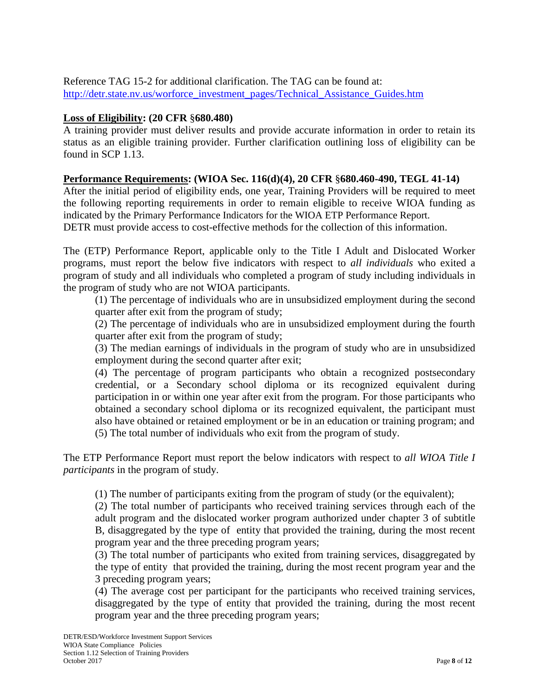#### Reference TAG 15-2 for additional clarification. The TAG can be found at: [http://detr.state.nv.us/worforce\\_investment\\_pages/Technical\\_Assistance\\_Guides.htm](http://detr.state.nv.us/worforce_investment_pages/Technical_Assistance_Guides.htm)

# **Loss of Eligibility: (20 CFR** §**680.480)**

A training provider must deliver results and provide accurate information in order to retain its status as an eligible training provider. Further clarification outlining loss of eligibility can be found in SCP 1.13.

### **Performance Requirements: (WIOA Sec. 116(d)(4), 20 CFR** §**680.460-490, TEGL 41-14)**

After the initial period of eligibility ends, one year, Training Providers will be required to meet the following reporting requirements in order to remain eligible to receive WIOA funding as indicated by the Primary Performance Indicators for the WIOA ETP Performance Report.

DETR must provide access to cost-effective methods for the collection of this information.

The (ETP) Performance Report, applicable only to the Title I Adult and Dislocated Worker programs, must report the below five indicators with respect to *all individuals* who exited a program of study and all individuals who completed a program of study including individuals in the program of study who are not WIOA participants.

(1) The percentage of individuals who are in unsubsidized employment during the second quarter after exit from the program of study;

(2) The percentage of individuals who are in unsubsidized employment during the fourth quarter after exit from the program of study;

(3) The median earnings of individuals in the program of study who are in unsubsidized employment during the second quarter after exit;

(4) The percentage of program participants who obtain a recognized postsecondary credential, or a Secondary school diploma or its recognized equivalent during participation in or within one year after exit from the program. For those participants who obtained a secondary school diploma or its recognized equivalent, the participant must also have obtained or retained employment or be in an education or training program; and (5) The total number of individuals who exit from the program of study.

The ETP Performance Report must report the below indicators with respect to *all WIOA Title I participants* in the program of study.

(1) The number of participants exiting from the program of study (or the equivalent);

(2) The total number of participants who received training services through each of the adult program and the dislocated worker program authorized under chapter 3 of subtitle B, disaggregated by the type of entity that provided the training, during the most recent program year and the three preceding program years;

(3) The total number of participants who exited from training services, disaggregated by the type of entity that provided the training, during the most recent program year and the 3 preceding program years;

(4) The average cost per participant for the participants who received training services, disaggregated by the type of entity that provided the training, during the most recent program year and the three preceding program years;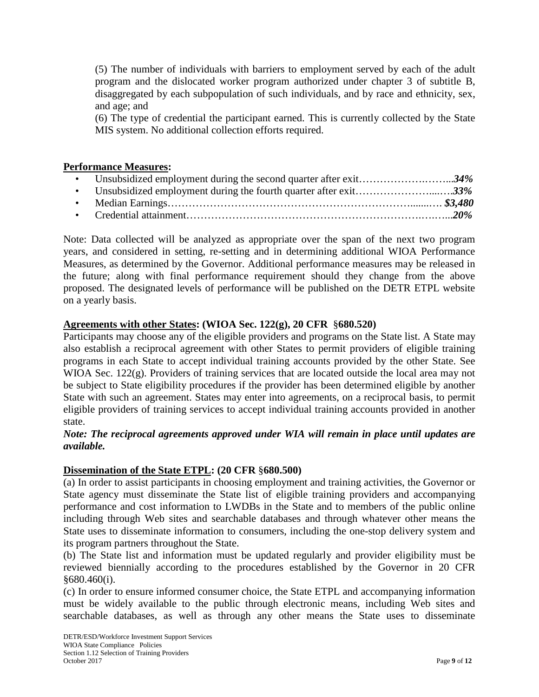(5) The number of individuals with barriers to employment served by each of the adult program and the dislocated worker program authorized under chapter 3 of subtitle B, disaggregated by each subpopulation of such individuals, and by race and ethnicity, sex, and age; and

(6) The type of credential the participant earned. This is currently collected by the State MIS system. No additional collection efforts required.

#### **Performance Measures:**

Note: Data collected will be analyzed as appropriate over the span of the next two program years, and considered in setting, re-setting and in determining additional WIOA Performance Measures, as determined by the Governor. Additional performance measures may be released in the future; along with final performance requirement should they change from the above proposed. The designated levels of performance will be published on the DETR ETPL website on a yearly basis.

## **Agreements with other States: (WIOA Sec. 122(g), 20 CFR** §**680.520)**

Participants may choose any of the eligible providers and programs on the State list. A State may also establish a reciprocal agreement with other States to permit providers of eligible training programs in each State to accept individual training accounts provided by the other State. See WIOA Sec. 122(g). Providers of training services that are located outside the local area may not be subject to State eligibility procedures if the provider has been determined eligible by another State with such an agreement. States may enter into agreements, on a reciprocal basis, to permit eligible providers of training services to accept individual training accounts provided in another state.

### *Note: The reciprocal agreements approved under WIA will remain in place until updates are available.*

#### **Dissemination of the State ETPL: (20 CFR** §**680.500)**

(a) In order to assist participants in choosing employment and training activities, the Governor or State agency must disseminate the State list of eligible training providers and accompanying performance and cost information to LWDBs in the State and to members of the public online including through Web sites and searchable databases and through whatever other means the State uses to disseminate information to consumers, including the one-stop delivery system and its program partners throughout the State.

(b) The State list and information must be updated regularly and provider eligibility must be reviewed biennially according to the procedures established by the Governor in 20 CFR §680.460(i).

(c) In order to ensure informed consumer choice, the State ETPL and accompanying information must be widely available to the public through electronic means, including Web sites and searchable databases, as well as through any other means the State uses to disseminate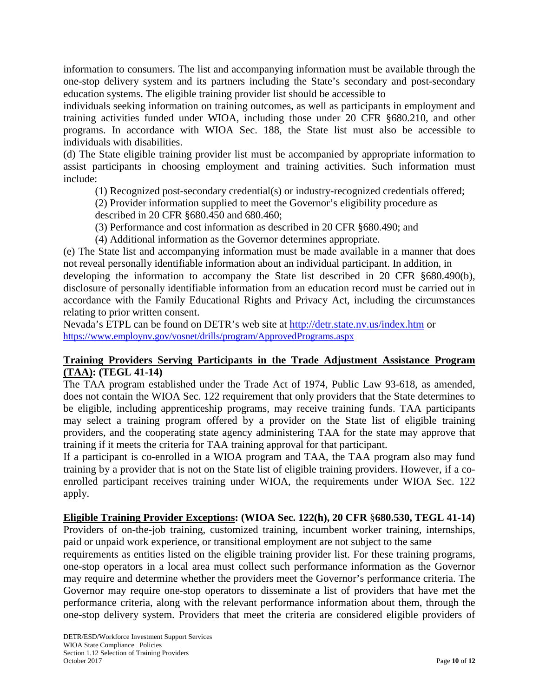information to consumers. The list and accompanying information must be available through the one-stop delivery system and its partners including the State's secondary and post-secondary education systems. The eligible training provider list should be accessible to

individuals seeking information on training outcomes, as well as participants in employment and training activities funded under WIOA, including those under 20 CFR §680.210, and other programs. In accordance with WIOA Sec. 188, the State list must also be accessible to individuals with disabilities.

(d) The State eligible training provider list must be accompanied by appropriate information to assist participants in choosing employment and training activities. Such information must include:

(1) Recognized post-secondary credential(s) or industry-recognized credentials offered;

(2) Provider information supplied to meet the Governor's eligibility procedure as described in 20 CFR §680.450 and 680.460;

(3) Performance and cost information as described in 20 CFR §680.490; and

(4) Additional information as the Governor determines appropriate.

(e) The State list and accompanying information must be made available in a manner that does not reveal personally identifiable information about an individual participant. In addition, in developing the information to accompany the State list described in 20 CFR §680.490(b), disclosure of personally identifiable information from an education record must be carried out in accordance with the Family Educational Rights and Privacy Act, including the circumstances relating to prior written consent.

Nevada's ETPL can be found on DETR's web site at<http://detr.state.nv.us/index.htm> or <https://www.employnv.gov/vosnet/drills/program/ApprovedPrograms.aspx>

### **Training Providers Serving Participants in the Trade Adjustment Assistance Program (TAA): (TEGL 41-14)**

The TAA program established under the Trade Act of 1974, Public Law 93-618, as amended, does not contain the WIOA Sec. 122 requirement that only providers that the State determines to be eligible, including apprenticeship programs, may receive training funds. TAA participants may select a training program offered by a provider on the State list of eligible training providers, and the cooperating state agency administering TAA for the state may approve that training if it meets the criteria for TAA training approval for that participant.

If a participant is co-enrolled in a WIOA program and TAA, the TAA program also may fund training by a provider that is not on the State list of eligible training providers. However, if a coenrolled participant receives training under WIOA, the requirements under WIOA Sec. 122 apply.

## **Eligible Training Provider Exceptions: (WIOA Sec. 122(h), 20 CFR** §**680.530, TEGL 41-14)**

Providers of on-the-job training, customized training, incumbent worker training, internships, paid or unpaid work experience, or transitional employment are not subject to the same

requirements as entities listed on the eligible training provider list. For these training programs, one-stop operators in a local area must collect such performance information as the Governor may require and determine whether the providers meet the Governor's performance criteria. The Governor may require one-stop operators to disseminate a list of providers that have met the performance criteria, along with the relevant performance information about them, through the one-stop delivery system. Providers that meet the criteria are considered eligible providers of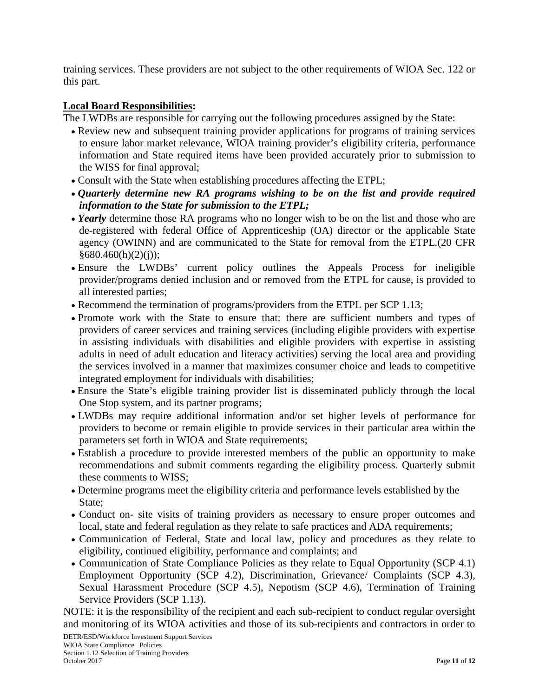training services. These providers are not subject to the other requirements of WIOA Sec. 122 or this part.

### **Local Board Responsibilities:**

The LWDBs are responsible for carrying out the following procedures assigned by the State:

- Review new and subsequent training provider applications for programs of training services to ensure labor market relevance, WIOA training provider's eligibility criteria, performance information and State required items have been provided accurately prior to submission to the WISS for final approval;
- Consult with the State when establishing procedures affecting the ETPL;
- *Quarterly determine new RA programs wishing to be on the list and provide required information to the State for submission to the ETPL;*
- *Yearly* determine those RA programs who no longer wish to be on the list and those who are de-registered with federal Office of Apprenticeship (OA) director or the applicable State agency (OWINN) and are communicated to the State for removal from the ETPL.(20 CFR  $§680.460(h)(2)(i);$
- Ensure the LWDBs' current policy outlines the Appeals Process for ineligible provider/programs denied inclusion and or removed from the ETPL for cause, is provided to all interested parties;
- Recommend the termination of programs/providers from the ETPL per SCP 1.13;
- Promote work with the State to ensure that: there are sufficient numbers and types of providers of career services and training services (including eligible providers with expertise in assisting individuals with disabilities and eligible providers with expertise in assisting adults in need of adult education and literacy activities) serving the local area and providing the services involved in a manner that maximizes consumer choice and leads to competitive integrated employment for individuals with disabilities;
- Ensure the State's eligible training provider list is disseminated publicly through the local One Stop system, and its partner programs;
- LWDBs may require additional information and/or set higher levels of performance for providers to become or remain eligible to provide services in their particular area within the parameters set forth in WIOA and State requirements;
- Establish a procedure to provide interested members of the public an opportunity to make recommendations and submit comments regarding the eligibility process. Quarterly submit these comments to WISS;
- Determine programs meet the eligibility criteria and performance levels established by the State:
- Conduct on- site visits of training providers as necessary to ensure proper outcomes and local, state and federal regulation as they relate to safe practices and ADA requirements;
- Communication of Federal, State and local law, policy and procedures as they relate to eligibility, continued eligibility, performance and complaints; and
- Communication of State Compliance Policies as they relate to Equal Opportunity (SCP 4.1) Employment Opportunity (SCP 4.2), Discrimination, Grievance/ Complaints (SCP 4.3), Sexual Harassment Procedure (SCP 4.5), Nepotism (SCP 4.6), Termination of Training Service Providers (SCP 1.13).

NOTE: it is the responsibility of the recipient and each sub-recipient to conduct regular oversight and monitoring of its WIOA activities and those of its sub-recipients and contractors in order to